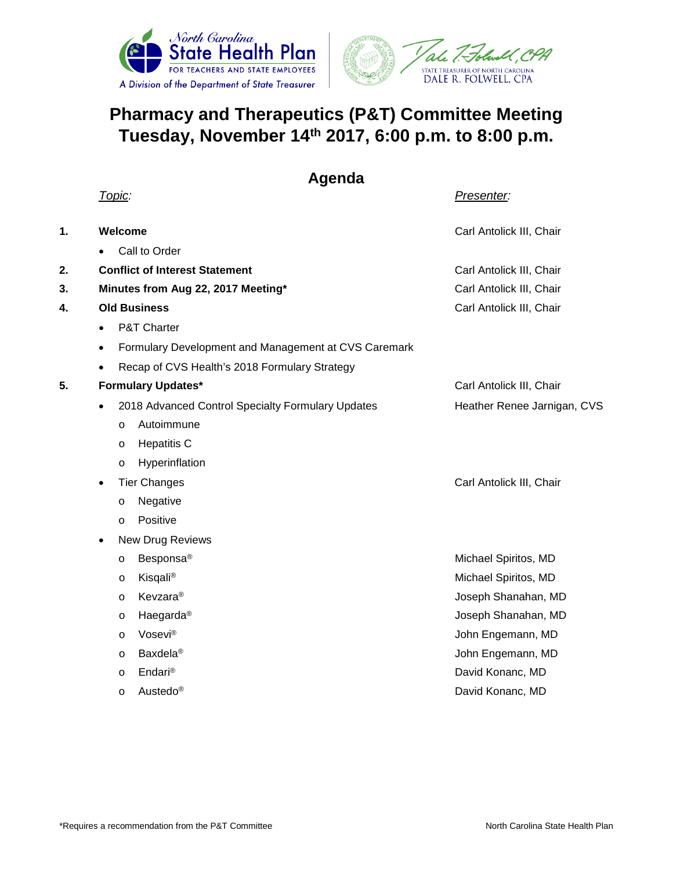



## **Pharmacy and Therapeutics (P&T) Committee Meeting Tuesday, November 14th 2017, 6:00 p.m. to 8:00 p.m.**

**Agenda**

|    | <u> Topic:</u>                                                    | Presenter:                  |
|----|-------------------------------------------------------------------|-----------------------------|
| 1. | Welcome                                                           | Carl Antolick III, Chair    |
|    | Call to Order                                                     |                             |
| 2. | <b>Conflict of Interest Statement</b>                             | Carl Antolick III, Chair    |
| 3. | Minutes from Aug 22, 2017 Meeting*                                | Carl Antolick III, Chair    |
| 4. | <b>Old Business</b>                                               | Carl Antolick III, Chair    |
|    | P&T Charter<br>$\bullet$                                          |                             |
|    | Formulary Development and Management at CVS Caremark<br>$\bullet$ |                             |
|    | Recap of CVS Health's 2018 Formulary Strategy                     |                             |
| 5. | <b>Formulary Updates*</b>                                         | Carl Antolick III, Chair    |
|    | 2018 Advanced Control Specialty Formulary Updates<br>$\bullet$    | Heather Renee Jarnigan, CVS |
|    | Autoimmune<br>$\circ$                                             |                             |
|    | <b>Hepatitis C</b><br>$\circ$                                     |                             |
|    | Hyperinflation<br>$\circ$                                         |                             |
|    | <b>Tier Changes</b><br>$\bullet$                                  | Carl Antolick III, Chair    |
|    | Negative<br>O                                                     |                             |
|    | Positive<br>$\circ$                                               |                             |
|    | New Drug Reviews<br>$\bullet$                                     |                             |
|    | Besponsa <sup>®</sup><br>$\circ$                                  | Michael Spiritos, MD        |
|    | Kisqali®<br>O                                                     | Michael Spiritos, MD        |
|    | Kevzara®<br>$\circ$                                               | Joseph Shanahan, MD         |
|    | Haegarda <sup>®</sup><br>$\circ$                                  | Joseph Shanahan, MD         |
|    | Vosevi®<br>$\circ$                                                | John Engemann, MD           |
|    | <b>Baxdela®</b><br>$\circ$                                        | John Engemann, MD           |
|    | Endari <sup>®</sup><br>O                                          | David Konanc, MD            |
|    | Austedo®<br>O                                                     | David Konanc, MD            |